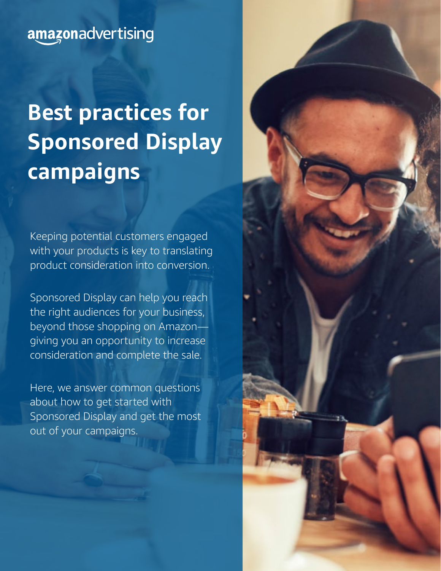### amazonadvertising

# **Best practices for Sponsored Display campaigns**

Keeping potential customers engaged with your products is key to translating product consideration into conversion.

Sponsored Display can help you reach the right audiences for your business, beyond those shopping on Amazon giving you an opportunity to increase consideration and complete the sale.

Here, we answer common questions about how to get started with Sponsored Display and get the most out of your campaigns.

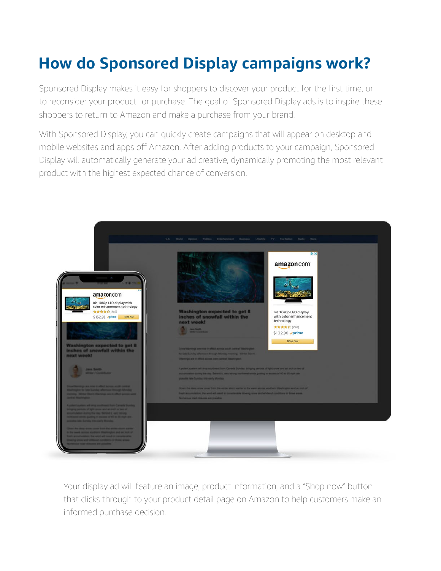# **How do Sponsored Display campaigns work?**

Sponsored Display makes it easy for shoppers to discover your product for the first time, or to reconsider your product for purchase. The goal of Sponsored Display ads is to inspire these shoppers to return to Amazon and make a purchase from your brand.

With Sponsored Display, you can quickly create campaigns that will appear on desktop and mobile websites and apps off Amazon. After adding products to your campaign, Sponsored Display will automatically generate your ad creative, dynamically promoting the most relevant product with the highest expected chance of conversion.



Your display ad will feature an image, product information, and a "Shop now" button that clicks through to your product detail page on Amazon to help customers make an informed purchase decision.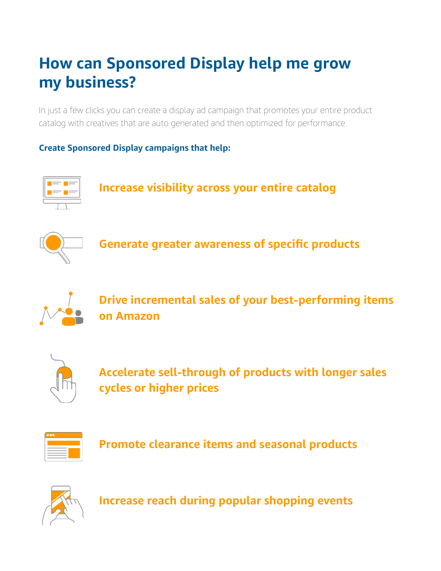# **How can Sponsored Display help me grow my business?**

In just a few clicks you can create a display ad campaign that promotes your entire product catalog with creatives that are auto generated and then optimized for performance.

### **Create Sponsored Display campaigns that help:**



**Increase visibility across your entire catalog**



**Generate greater awareness of specific products**



**Drive incremental sales of your best-performing items on Amazon**



**Accelerate sell-through of products with longer sales cycles or higher prices**



**Promote clearance items and seasonal products**



**Increase reach during popular shopping events**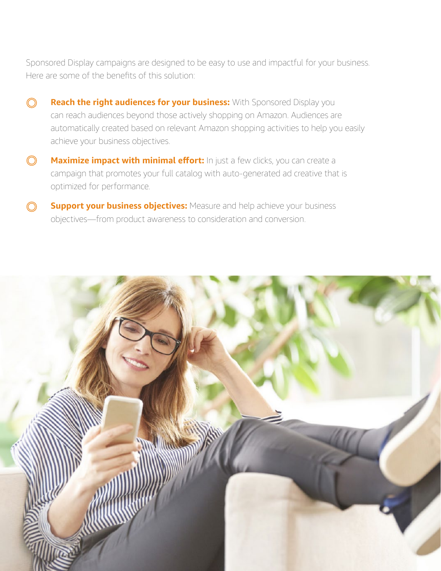Sponsored Display campaigns are designed to be easy to use and impactful for your business. Here are some of the benefits of this solution:

- **Reach the right audiences for your business:** With Sponsored Display you  $\odot$ can reach audiences beyond those actively shopping on Amazon. Audiences are automatically created based on relevant Amazon shopping activities to help you easily achieve your business objectives.
- **Maximize impact with minimal effort:** In just a few clicks, you can create a  $\bigcirc$ campaign that promotes your full catalog with auto-generated ad creative that is optimized for performance.
- **Support your business objectives:** Measure and help achieve your business ∩ objectives—from product awareness to consideration and conversion.

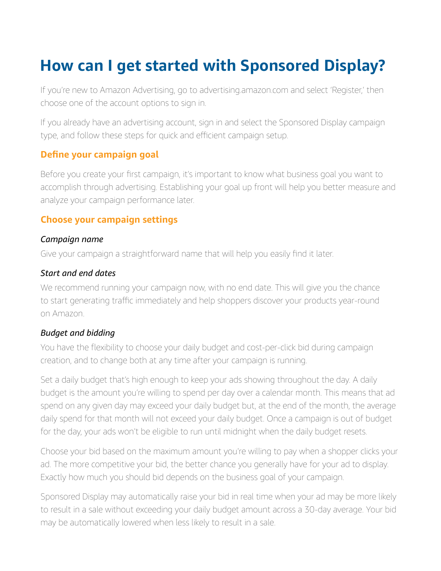## **How can I get started with Sponsored Display?**

If you're new to Amazon Advertising, go to advertising.amazon.com and select 'Register,' then choose one of the account options to sign in.

If you already have an advertising account, sign in and select the Sponsored Display campaign type, and follow these steps for quick and efficient campaign setup.

### **Define your campaign goal**

Before you create your first campaign, it's important to know what business goal you want to accomplish through advertising. Establishing your goal up front will help you better measure and analyze your campaign performance later.

### **Choose your campaign settings**

#### *Campaign name*

Give your campaign a straightforward name that will help you easily find it later.

#### *Start and end dates*

We recommend running your campaign now, with no end date. This will give you the chance to start generating traffic immediately and help shoppers discover your products year-round on Amazon.

#### *Budget and bidding*

You have the flexibility to choose your daily budget and cost-per-click bid during campaign creation, and to change both at any time after your campaign is running.

Set a daily budget that's high enough to keep your ads showing throughout the day. A daily budget is the amount you're willing to spend per day over a calendar month. This means that ad spend on any given day may exceed your daily budget but, at the end of the month, the average daily spend for that month will not exceed your daily budget. Once a campaign is out of budget for the day, your ads won't be eligible to run until midnight when the daily budget resets.

Choose your bid based on the maximum amount you're willing to pay when a shopper clicks your ad. The more competitive your bid, the better chance you generally have for your ad to display. Exactly how much you should bid depends on the business goal of your campaign.

Sponsored Display may automatically raise your bid in real time when your ad may be more likely to result in a sale without exceeding your daily budget amount across a 30-day average. Your bid may be automatically lowered when less likely to result in a sale.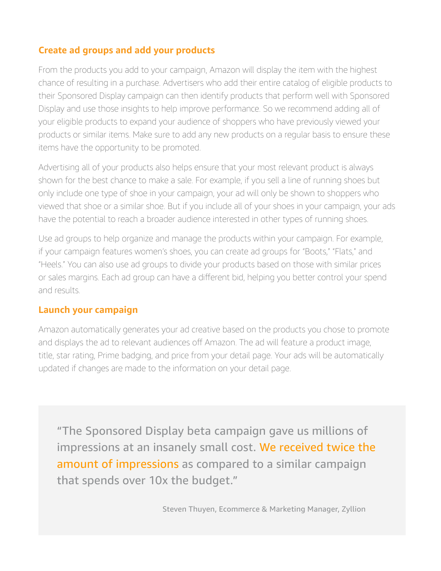### **Create ad groups and add your products**

From the products you add to your campaign, Amazon will display the item with the highest chance of resulting in a purchase. Advertisers who add their entire catalog of eligible products to their Sponsored Display campaign can then identify products that perform well with Sponsored Display and use those insights to help improve performance. So we recommend adding all of your eligible products to expand your audience of shoppers who have previously viewed your products or similar items. Make sure to add any new products on a regular basis to ensure these items have the opportunity to be promoted.

Advertising all of your products also helps ensure that your most relevant product is always shown for the best chance to make a sale. For example, if you sell a line of running shoes but only include one type of shoe in your campaign, your ad will only be shown to shoppers who viewed that shoe or a similar shoe. But if you include all of your shoes in your campaign, your ads have the potential to reach a broader audience interested in other types of running shoes.

Use ad groups to help organize and manage the products within your campaign. For example, if your campaign features women's shoes, you can create ad groups for "Boots," "Flats," and "Heels." You can also use ad groups to divide your products based on those with similar prices or sales margins. Each ad group can have a different bid, helping you better control your spend and results.

### **Launch your campaign**

Amazon automatically generates your ad creative based on the products you chose to promote and displays the ad to relevant audiences off Amazon. The ad will feature a product image, title, star rating, Prime badging, and price from your detail page. Your ads will be automatically updated if changes are made to the information on your detail page.

"The Sponsored Display beta campaign gave us millions of impressions at an insanely small cost. We received twice the amount of impressions as compared to a similar campaign that spends over 10x the budget."

Steven Thuyen, Ecommerce & Marketing Manager, Zyllion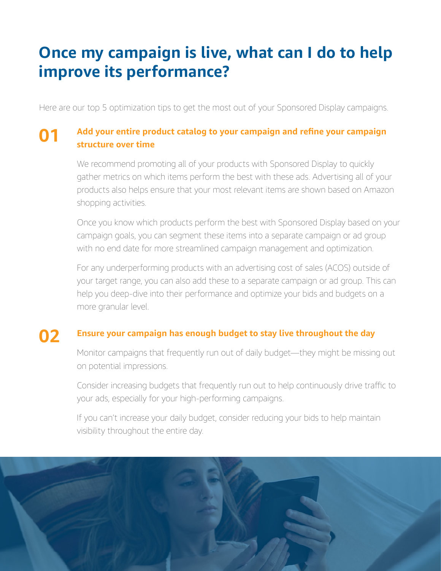### **Once my campaign is live, what can I do to help improve its performance?**

Here are our top 5 optimization tips to get the most out of your Sponsored Display campaigns.

#### **Add your entire product catalog to your campaign and refine your campaign structure over time 01**

We recommend promoting all of your products with Sponsored Display to quickly gather metrics on which items perform the best with these ads. Advertising all of your products also helps ensure that your most relevant items are shown based on Amazon shopping activities.

Once you know which products perform the best with Sponsored Display based on your campaign goals, you can segment these items into a separate campaign or ad group with no end date for more streamlined campaign management and optimization.

For any underperforming products with an advertising cost of sales (ACOS) outside of your target range, you can also add these to a separate campaign or ad group. This can help you deep-dive into their performance and optimize your bids and budgets on a more granular level.

#### **Ensure your campaign has enough budget to stay live throughout the day 02**

Monitor campaigns that frequently run out of daily budget—they might be missing out on potential impressions.

Consider increasing budgets that frequently run out to help continuously drive traffic to your ads, especially for your high-performing campaigns.

If you can't increase your daily budget, consider reducing your bids to help maintain visibility throughout the entire day.

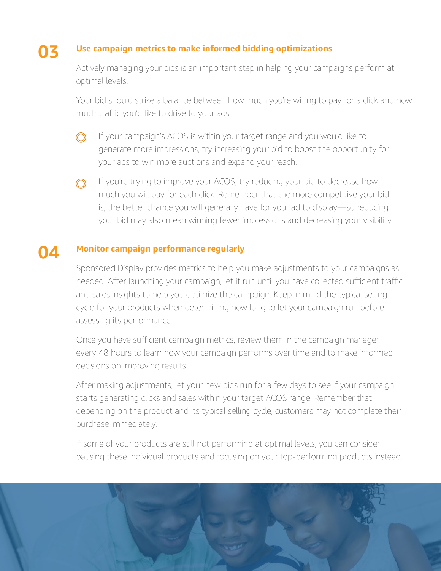#### **Use campaign metrics to make informed bidding optimizations 03**

Actively managing your bids is an important step in helping your campaigns perform at optimal levels.

Your bid should strike a balance between how much you're willing to pay for a click and how much traffic you'd like to drive to your ads:

If your campaign's ACOS is within your target range and you would like to  $\bigcirc$ generate more impressions, try increasing your bid to boost the opportunity for your ads to win more auctions and expand your reach.

If you're trying to improve your ACOS, try reducing your bid to decrease how ∩ much you will pay for each click. Remember that the more competitive your bid is, the better chance you will generally have for your ad to display—so reducing your bid may also mean winning fewer impressions and decreasing your visibility.

#### **04 Monitor campaign performance regularly**

Sponsored Display provides metrics to help you make adjustments to your campaigns as needed. After launching your campaign, let it run until you have collected sufficient traffic and sales insights to help you optimize the campaign. Keep in mind the typical selling cycle for your products when determining how long to let your campaign run before assessing its performance.

Once you have sufficient campaign metrics, review them in the campaign manager every 48 hours to learn how your campaign performs over time and to make informed decisions on improving results.

After making adjustments, let your new bids run for a few days to see if your campaign starts generating clicks and sales within your target ACOS range. Remember that depending on the product and its typical selling cycle, customers may not complete their purchase immediately.

If some of your products are still not performing at optimal levels, you can consider pausing these individual products and focusing on your top-performing products instead.